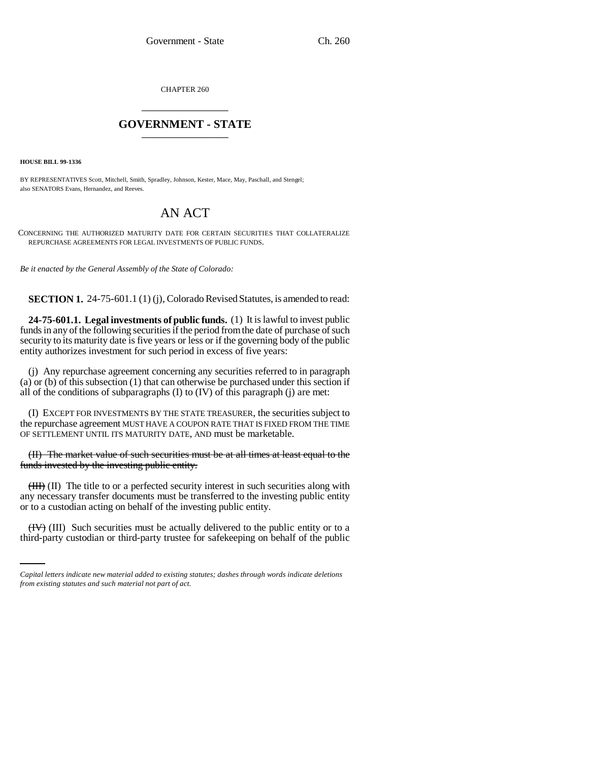CHAPTER 260 \_\_\_\_\_\_\_\_\_\_\_\_\_\_\_

## **GOVERNMENT - STATE** \_\_\_\_\_\_\_\_\_\_\_\_\_\_\_

**HOUSE BILL 99-1336**

BY REPRESENTATIVES Scott, Mitchell, Smith, Spradley, Johnson, Kester, Mace, May, Paschall, and Stengel; also SENATORS Evans, Hernandez, and Reeves.

## AN ACT

CONCERNING THE AUTHORIZED MATURITY DATE FOR CERTAIN SECURITIES THAT COLLATERALIZE REPURCHASE AGREEMENTS FOR LEGAL INVESTMENTS OF PUBLIC FUNDS.

*Be it enacted by the General Assembly of the State of Colorado:*

**SECTION 1.** 24-75-601.1 (1) (j), Colorado Revised Statutes, is amended to read:

**24-75-601.1. Legal investments of public funds.** (1) It is lawful to invest public funds in any of the following securities if the period from the date of purchase of such security to its maturity date is five years or less or if the governing body of the public entity authorizes investment for such period in excess of five years:

(j) Any repurchase agreement concerning any securities referred to in paragraph (a) or (b) of this subsection (1) that can otherwise be purchased under this section if all of the conditions of subparagraphs (I) to (IV) of this paragraph (j) are met:

(I) EXCEPT FOR INVESTMENTS BY THE STATE TREASURER, the securities subject to the repurchase agreement MUST HAVE A COUPON RATE THAT IS FIXED FROM THE TIME OF SETTLEMENT UNTIL ITS MATURITY DATE, AND must be marketable.

(II) The market value of such securities must be at all times at least equal to the funds invested by the investing public entity.

or to a custodian acting on behalf of the investing public entity. (III) (II) The title to or a perfected security interest in such securities along with any necessary transfer documents must be transferred to the investing public entity

(IV) (III) Such securities must be actually delivered to the public entity or to a third-party custodian or third-party trustee for safekeeping on behalf of the public

*Capital letters indicate new material added to existing statutes; dashes through words indicate deletions from existing statutes and such material not part of act.*